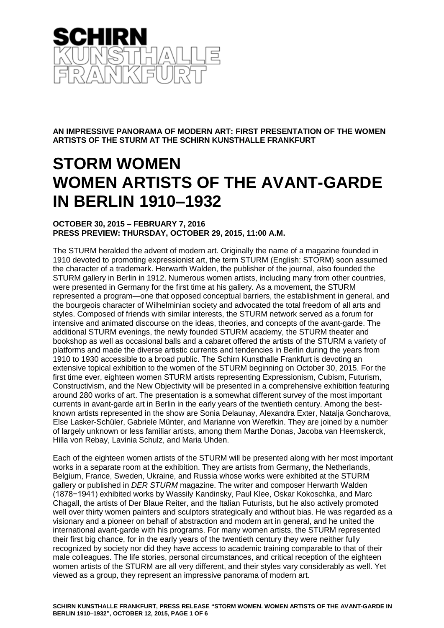

**AN IMPRESSIVE PANORAMA OF MODERN ART: FIRST PRESENTATION OF THE WOMEN ARTISTS OF THE STURM AT THE SCHIRN KUNSTHALLE FRANKFURT** 

## **STORM WOMEN WOMEN ARTISTS OF THE AVANT-GARDE IN BERLIN 1910–1932**

## **OCTOBER 30, 2015 – FEBRUARY 7, 2016 PRESS PREVIEW: THURSDAY, OCTOBER 29, 2015, 11:00 A.M.**

The STURM heralded the advent of modern art. Originally the name of a magazine founded in 1910 devoted to promoting expressionist art, the term STURM (English: STORM) soon assumed the character of a trademark. Herwarth Walden, the publisher of the journal, also founded the STURM gallery in Berlin in 1912. Numerous women artists, including many from other countries, were presented in Germany for the first time at his gallery. As a movement, the STURM represented a program—one that opposed conceptual barriers, the establishment in general, and the bourgeois character of Wilhelminian society and advocated the total freedom of all arts and styles. Composed of friends with similar interests, the STURM network served as a forum for intensive and animated discourse on the ideas, theories, and concepts of the avant-garde. The additional STURM evenings, the newly founded STURM academy, the STURM theater and bookshop as well as occasional balls and a cabaret offered the artists of the STURM a variety of platforms and made the diverse artistic currents and tendencies in Berlin during the years from 1910 to 1930 accessible to a broad public. The Schirn Kunsthalle Frankfurt is devoting an extensive topical exhibition to the women of the STURM beginning on October 30, 2015. For the first time ever, eighteen women STURM artists representing Expressionism, Cubism, Futurism, Constructivism, and the New Objectivity will be presented in a comprehensive exhibition featuring around 280 works of art. The presentation is a somewhat different survey of the most important currents in avant-garde art in Berlin in the early years of the twentieth century. Among the bestknown artists represented in the show are Sonia Delaunay, Alexandra Exter, Natalja Goncharova, Else Lasker-Schüler, Gabriele Münter, and Marianne von Werefkin. They are joined by a number of largely unknown or less familiar artists, among them Marthe Donas, Jacoba van Heemskerck, Hilla von Rebay, Lavinia Schulz, and Maria Uhden.

Each of the eighteen women artists of the STURM will be presented along with her most important works in a separate room at the exhibition. They are artists from Germany, the Netherlands, Belgium, France, Sweden, Ukraine, and Russia whose works were exhibited at the STURM gallery or published in *DER STURM* magazine. The writer and composer Herwarth Walden (1878−1941) exhibited works by Wassily Kandinsky, Paul Klee, Oskar Kokoschka, and Marc Chagall, the artists of Der Blaue Reiter, and the Italian Futurists, but he also actively promoted well over thirty women painters and sculptors strategically and without bias. He was regarded as a visionary and a pioneer on behalf of abstraction and modern art in general, and he united the international avant-garde with his programs. For many women artists, the STURM represented their first big chance, for in the early years of the twentieth century they were neither fully recognized by society nor did they have access to academic training comparable to that of their male colleagues. The life stories, personal circumstances, and critical reception of the eighteen women artists of the STURM are all very different, and their styles vary considerably as well. Yet viewed as a group, they represent an impressive panorama of modern art.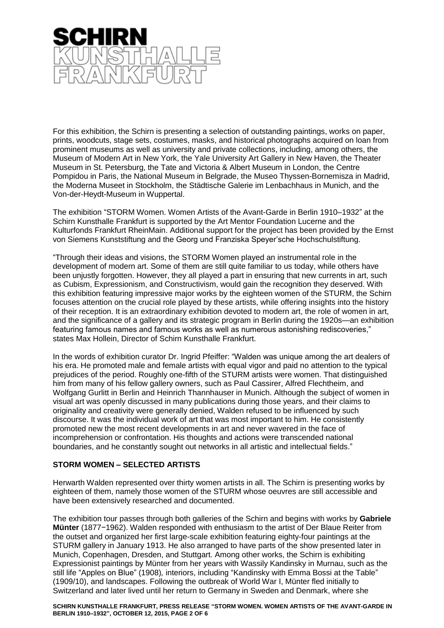

For this exhibition, the Schirn is presenting a selection of outstanding paintings, works on paper, prints, woodcuts, stage sets, costumes, masks, and historical photographs acquired on loan from prominent museums as well as university and private collections, including, among others, the Museum of Modern Art in New York, the Yale University Art Gallery in New Haven, the Theater Museum in St. Petersburg, the Tate and Victoria & Albert Museum in London, the Centre Pompidou in Paris, the National Museum in Belgrade, the Museo Thyssen-Bornemisza in Madrid, the Moderna Museet in Stockholm, the Städtische Galerie im Lenbachhaus in Munich, and the Von-der-Heydt-Museum in Wuppertal.

The exhibition "STORM Women. Women Artists of the Avant-Garde in Berlin 1910–1932" at the Schirn Kunsthalle Frankfurt is supported by the Art Mentor Foundation Lucerne and the Kulturfonds Frankfurt RheinMain. Additional support for the project has been provided by the Ernst von Siemens Kunststiftung and the Georg und Franziska Speyer'sche Hochschulstiftung.

"Through their ideas and visions, the STORM Women played an instrumental role in the development of modern art. Some of them are still quite familiar to us today, while others have been unjustly forgotten. However, they all played a part in ensuring that new currents in art, such as Cubism, Expressionism, and Constructivism, would gain the recognition they deserved. With this exhibition featuring impressive major works by the eighteen women of the STURM, the Schirn focuses attention on the crucial role played by these artists, while offering insights into the history of their reception. It is an extraordinary exhibition devoted to modern art, the role of women in art, and the significance of a gallery and its strategic program in Berlin during the 1920s—an exhibition featuring famous names and famous works as well as numerous astonishing rediscoveries," states Max Hollein, Director of Schirn Kunsthalle Frankfurt.

In the words of exhibition curator Dr. Ingrid Pfeiffer: "Walden was unique among the art dealers of his era. He promoted male and female artists with equal vigor and paid no attention to the typical prejudices of the period. Roughly one-fifth of the STURM artists were women. That distinguished him from many of his fellow gallery owners, such as Paul Cassirer, Alfred Flechtheim, and Wolfgang Gurlitt in Berlin and Heinrich Thannhauser in Munich. Although the subject of women in visual art was openly discussed in many publications during those years, and their claims to originality and creativity were generally denied, Walden refused to be influenced by such discourse. It was the individual work of art that was most important to him. He consistently promoted new the most recent developments in art and never wavered in the face of incomprehension or confrontation. His thoughts and actions were transcended national boundaries, and he constantly sought out networks in all artistic and intellectual fields."

## **STORM WOMEN – SELECTED ARTISTS**

Herwarth Walden represented over thirty women artists in all. The Schirn is presenting works by eighteen of them, namely those women of the STURM whose oeuvres are still accessible and have been extensively researched and documented.

The exhibition tour passes through both galleries of the Schirn and begins with works by **Gabriele Münter** (1877−1962). Walden responded with enthusiasm to the artist of Der Blaue Reiter from the outset and organized her first large-scale exhibition featuring eighty-four paintings at the STURM gallery in January 1913. He also arranged to have parts of the show presented later in Munich, Copenhagen, Dresden, and Stuttgart. Among other works, the Schirn is exhibiting Expressionist paintings by Münter from her years with Wassily Kandinsky in Murnau, such as the still life "Apples on Blue" (1908)*,* interiors, including "Kandinsky with Emma Bossi at the Table" (1909/10), and landscapes. Following the outbreak of World War I, Münter fled initially to Switzerland and later lived until her return to Germany in Sweden and Denmark, where she

**SCHIRN KUNSTHALLE FRANKFURT, PRESS RELEASE "STORM WOMEN. WOMEN ARTISTS OF THE AVANT-GARDE IN BERLIN 1910–1932", OCTOBER 12, 2015, PAGE 2 OF 6**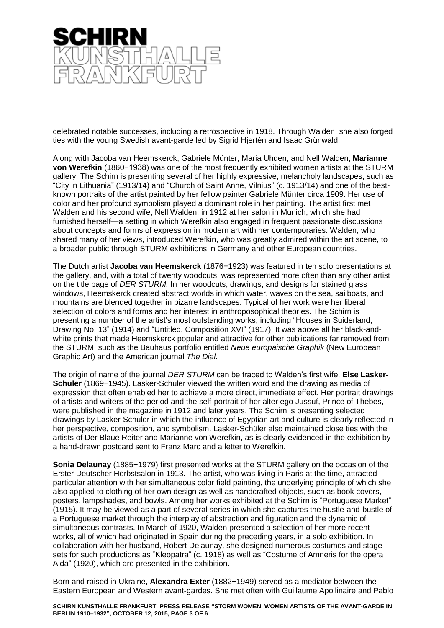

celebrated notable successes, including a retrospective in 1918. Through Walden, she also forged ties with the young Swedish avant-garde led by Sigrid Hjertén and Isaac Grünwald.

Along with Jacoba van Heemskerck, Gabriele Münter, Maria Uhden, and Nell Walden, **Marianne von Werefkin** (1860−1938) was one of the most frequently exhibited women artists at the STURM gallery. The Schirn is presenting several of her highly expressive, melancholy landscapes, such as "City in Lithuania" (1913/14) and "Church of Saint Anne, Vilnius" (c. 1913/14) and one of the bestknown portraits of the artist painted by her fellow painter Gabriele Münter circa 1909. Her use of color and her profound symbolism played a dominant role in her painting. The artist first met Walden and his second wife, Nell Walden, in 1912 at her salon in Munich, which she had furnished herself—a setting in which Werefkin also engaged in frequent passionate discussions about concepts and forms of expression in modern art with her contemporaries. Walden, who shared many of her views, introduced Werefkin, who was greatly admired within the art scene, to a broader public through STURM exhibitions in Germany and other European countries.

The Dutch artist **Jacoba van Heemskerck** (1876−1923) was featured in ten solo presentations at the gallery, and, with a total of twenty woodcuts, was represented more often than any other artist on the title page of *DER STURM.* In her woodcuts, drawings, and designs for stained glass windows, Heemskerck created abstract worlds in which water, waves on the sea, sailboats, and mountains are blended together in bizarre landscapes. Typical of her work were her liberal selection of colors and forms and her interest in anthroposophical theories. The Schirn is presenting a number of the artist's most outstanding works, including "Houses in Suiderland, Drawing No. 13" (1914) and "Untitled, Composition XVI" (1917). It was above all her black-andwhite prints that made Heemskerck popular and attractive for other publications far removed from the STURM, such as the Bauhaus portfolio entitled *Neue europäische Graphik* (New European Graphic Art) and the American journal *The Dial.*

The origin of name of the journal *DER STURM* can be traced to Walden's first wife, **Else Lasker-Schüler** (1869−1945). Lasker-Schüler viewed the written word and the drawing as media of expression that often enabled her to achieve a more direct, immediate effect. Her portrait drawings of artists and writers of the period and the self-portrait of her alter ego Jussuf, Prince of Thebes, were published in the magazine in 1912 and later years. The Schirn is presenting selected drawings by Lasker-Schüler in which the influence of Egyptian art and culture is clearly reflected in her perspective, composition, and symbolism. Lasker-Schüler also maintained close ties with the artists of Der Blaue Reiter and Marianne von Werefkin, as is clearly evidenced in the exhibition by a hand-drawn postcard sent to Franz Marc and a letter to Werefkin.

**Sonia Delaunay** (1885−1979) first presented works at the STURM gallery on the occasion of the Erster Deutscher Herbstsalon in 1913. The artist, who was living in Paris at the time, attracted particular attention with her simultaneous color field painting, the underlying principle of which she also applied to clothing of her own design as well as handcrafted objects, such as book covers, posters, lampshades, and bowls. Among her works exhibited at the Schirn is "Portuguese Market" (1915). It may be viewed as a part of several series in which she captures the hustle-and-bustle of a Portuguese market through the interplay of abstraction and figuration and the dynamic of simultaneous contrasts. In March of 1920, Walden presented a selection of her more recent works, all of which had originated in Spain during the preceding years, in a solo exhibition. In collaboration with her husband, Robert Delaunay, she designed numerous costumes and stage sets for such productions as "Kleopatra" (c. 1918) as well as "Costume of Amneris for the opera Aida" (1920), which are presented in the exhibition.

Born and raised in Ukraine, **Alexandra Exter** (1882−1949) served as a mediator between the Eastern European and Western avant-gardes. She met often with Guillaume Apollinaire and Pablo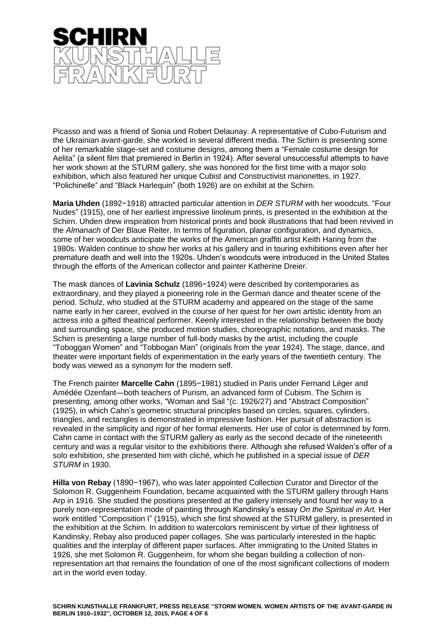

Picasso and was a friend of Sonia und Robert Delaunay. A representative of Cubo-Futurism and the Ukrainian avant-garde, she worked in several different media. The Schirn is presenting some of her remarkable stage-set and costume designs, among them a "Female costume design for Aelita" (a silent film that premiered in Berlin in 1924). After several unsuccessful attempts to have her work shown at the STURM gallery, she was honored for the first time with a major solo exhibition, which also featured her unique Cubist and Constructivist marionettes, in 1927. "Polichinelle" and "Black Harlequin" (both 1926) are on exhibit at the Schirn.

**Maria Uhden** (1892−1918) attracted particular attention in *DER STURM* with her woodcuts. "Four Nudes" (1915), one of her earliest impressive linoleum prints, is presented in the exhibition at the Schirn. Uhden drew inspiration from historical prints and book illustrations that had been revived in the *Almanach* of Der Blaue Reiter. In terms of figuration, planar configuration, and dynamics, some of her woodcuts anticipate the works of the American graffiti artist Keith Haring from the 1980s. Walden continue to show her works at his gallery and in touring exhibitions even after her premature death and well into the 1920s. Uhden's woodcuts were introduced in the United States through the efforts of the American collector and painter Katherine Dreier.

The mask dances of **Lavinia Schulz** (1896−1924) were described by contemporaries as extraordinary, and they played a pioneering role in the German dance and theater scene of the period. Schulz, who studied at the STURM academy and appeared on the stage of the same name early in her career, evolved in the course of her quest for her own artistic identity from an actress into a gifted theatrical performer. Keenly interested in the relationship between the body and surrounding space, she produced motion studies, choreographic notations, and masks. The Schirn is presenting a large number of full-body masks by the artist, including the couple "Toboggan Women" and "Tobbogan Man" (originals from the year 1924). The stage, dance, and theater were important fields of experimentation in the early years of the twentieth century. The body was viewed as a synonym for the modern self.

The French painter **Marcelle Cahn** (1895−1981) studied in Paris under Fernand Léger and Amédée Ozenfant—both teachers of Purism, an advanced form of Cubism. The Schirn is presenting, among other works, "Woman and Sail "(c. 1926/27) and "Abstract Composition" (1925), in which Cahn's geometric structural principles based on circles, squares, cylinders, triangles, and rectangles is demonstrated in impressive fashion. Her pursuit of abstraction is revealed in the simplicity and rigor of her formal elements. Her use of color is determined by form. Cahn came in contact with the STURM gallery as early as the second decade of the nineteenth century and was a regular visitor to the exhibitions there. Although she refused Walden's offer of a solo exhibition, she presented him with cliché, which he published in a special issue of *DER STURM* in 1930.

**Hilla von Rebay** (1890−1967), who was later appointed Collection Curator and Director of the Solomon R. Guggenheim Foundation, became acquainted with the STURM gallery through Hans Arp in 1916. She studied the positions presented at the gallery intensely and found her way to a purely non-representation mode of painting through Kandinsky's essay *On the Spiritual in Art.* Her work entitled "Composition I" (1915), which she first showed at the STURM gallery, is presented in the exhibition at the Schirn. In addition to watercolors reminiscent by virtue of their lightness of Kandinsky, Rebay also produced paper collages. She was particularly interested in the haptic qualities and the interplay of different paper surfaces. After immigrating to the United States in 1926, she met Solomon R. Guggenheim, for whom she began building a collection of nonrepresentation art that remains the foundation of one of the most significant collections of modern art in the world even today.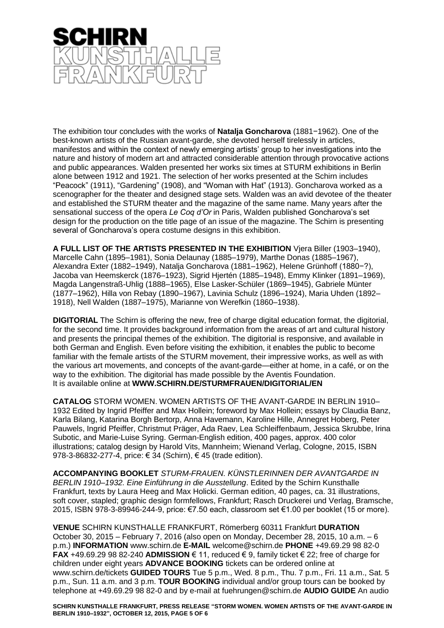

The exhibition tour concludes with the works of **Natalja Goncharova** (1881−1962). One of the best-known artists of the Russian avant-garde, she devoted herself tirelessly in articles, manifestos and within the context of newly emerging artists' group to her investigations into the nature and history of modern art and attracted considerable attention through provocative actions and public appearances. Walden presented her works six times at STURM exhibitions in Berlin alone between 1912 and 1921. The selection of her works presented at the Schirn includes "Peacock" (1911), "Gardening" (1908), and "Woman with Hat" (1913). Goncharova worked as a scenographer for the theater and designed stage sets. Walden was an avid devotee of the theater and established the STURM theater and the magazine of the same name. Many years after the sensational success of the opera *Le Coq d'Or* in Paris, Walden published Goncharova's set design for the production on the title page of an issue of the magazine. The Schirn is presenting several of Goncharova's opera costume designs in this exhibition.

**A FULL LIST OF THE ARTISTS PRESENTED IN THE EXHIBITION** Vjera Biller (1903–1940), Marcelle Cahn (1895–1981), Sonia Delaunay (1885–1979), Marthe Donas (1885–1967), Alexandra Exter (1882–1949), Natalja Goncharova (1881–1962), Helene Grünhoff (1880−?), Jacoba van Heemskerck (1876–1923), Sigrid Hjertén (1885–1948), Emmy Klinker (1891–1969), Magda Langenstraß-Uhlig (1888–1965), Else Lasker-Schüler (1869–1945), Gabriele Münter (1877–1962), Hilla von Rebay (1890–1967), Lavinia Schulz (1896–1924), Maria Uhden (1892– 1918), Nell Walden (1887–1975), Marianne von Werefkin (1860–1938).

**DIGITORIAL** The Schirn is offering the new, free of charge digital education format, the digitorial, for the second time. It provides background information from the areas of art and cultural history and presents the principal themes of the exhibition. The digitorial is responsive, and available in both German and English. Even before visiting the exhibition, it enables the public to become familiar with the female artists of the STURM movement, their impressive works, as well as with the various art movements, and concepts of the avant-garde—either at home, in a café, or on the way to the exhibition. The digitorial has made possible by the Aventis Foundation. It is available online at **WWW.SCHIRN.DE/STURMFRAUEN/DIGITORIAL/EN**

**CATALOG** STORM WOMEN. WOMEN ARTISTS OF THE AVANT-GARDE IN BERLIN 1910– 1932 Edited by Ingrid Pfeiffer and Max Hollein; foreword by Max Hollein; essays by Claudia Banz, Karla Bilang, Katarina Borgh Bertorp, Anna Havemann, Karoline Hille, Annegret Hoberg, Peter Pauwels, Ingrid Pfeiffer, Christmut Präger, Ada Raev, Lea Schleiffenbaum, Jessica Skrubbe, Irina Subotic, and Marie-Luise Syring. German-English edition, 400 pages, approx. 400 color illustrations; catalog design by Harold Vits, Mannheim; Wienand Verlag, Cologne, 2015, ISBN 978-3-86832-277-4, price: € 34 (Schirn), € 45 (trade edition).

**ACCOMPANYING BOOKLET** *STURM-FRAUEN. KÜNSTLERINNEN DER AVANTGARDE IN BERLIN 1910–1932. Eine Einführung in die Ausstellung*. Edited by the Schirn Kunsthalle Frankfurt, texts by Laura Heeg and Max Holicki. German edition, 40 pages, ca. 31 illustrations, soft cover, stapled; graphic design formfellows, Frankfurt; Rasch Druckerei und Verlag, Bramsche, 2015, ISBN 978-3-89946-244-9, price: €7.50 each, classroom set €1.00 per booklet (15 or more).

**VENUE** SCHIRN KUNSTHALLE FRANKFURT, Römerberg 60311 Frankfurt **DURATION** October 30, 2015 – February 7, 2016 (also open on Monday, December 28, 2015, 10 a.m. – 6 p.m.) **INFORMATION** www.schirn.de **E-MAIL** welcome@schirn.de **PHONE** +49.69.29 98 82-0 **FAX** +49.69.29 98 82-240 **ADMISSION** € 11, reduced € 9, family ticket € 22; free of charge for children under eight years **ADVANCE BOOKING** tickets can be ordered online at [www.schirn.de/tickets](http://www.schirn.de/tickets) **GUIDED TOURS** Tue 5 p.m., Wed. 8 p.m., Thu. 7 p.m., Fri. 11 a.m., Sat. 5 p.m., Sun. 11 a.m. and 3 p.m. **TOUR BOOKING** individual and/or group tours can be booked by telephone at +49.69.29 98 82-0 and by e-mail at [fuehrungen@schirn.de](mailto:fuehrungen@schirn.de) **AUDIO GUIDE** An audio

**SCHIRN KUNSTHALLE FRANKFURT, PRESS RELEASE "STORM WOMEN. WOMEN ARTISTS OF THE AVANT-GARDE IN BERLIN 1910–1932", OCTOBER 12, 2015, PAGE 5 OF 6**